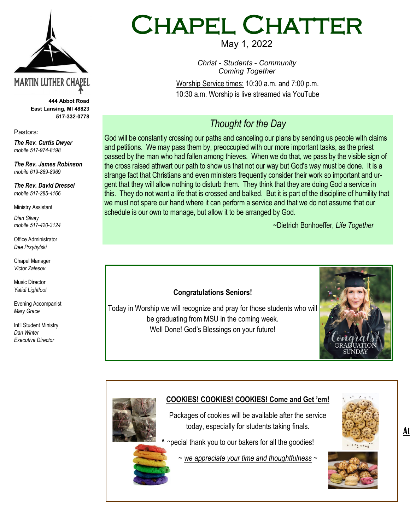

**444 Abbot Road East Lansing, MI 48823 517-332-0778**

Pastors:

*The Rev. Curtis Dwyer mobile 517-974-8198*

*The Rev. James Robinson mobile 619-889-8969*

*The Rev. David Dressel mobile 517-285-4166*

Ministry Assistant

*Dian Silvey mobile 517-420-3124*

Office Administrator *Dee Przybylski*

Chapel Manager *Victor Zalesov*

Music Director *Yatidi Lightfoot* 

Evening Accompanist *Mary Grace*

Int'l Student Ministry *Dan Winter Executive Director*

# Chapel Chatter

May 1, 2022

*Christ - Students - Community Coming Together*

Worship Service times: 10:30 a.m. and 7:00 p.m. 10:30 a.m. Worship is live streamed via YouTube

## *Thought for the Day*

God will be constantly crossing our paths and canceling our plans by sending us people with claims and petitions. We may pass them by, preoccupied with our more important tasks, as the priest passed by the man who had fallen among thieves. When we do that, we pass by the visible sign of the cross raised athwart our path to show us that not our way but God's way must be done. It is a strange fact that Christians and even ministers frequently consider their work so important and urgent that they will allow nothing to disturb them. They think that they are doing God a service in this. They do not want a life that is crossed and balked. But it is part of the discipline of humility that we must not spare our hand where it can perform a service and that we do not assume that our schedule is our own to manage, but allow it to be arranged by God.

~Dietrich Bonhoeffer, *Life Together*



#### **COOKIES! COOKIES! COOKIES! Come and Get 'em!**

Packages of cookies will be available after the service today, especially for students taking finals.

pecial thank you to our bakers for all the goodies!

~ *we appreciate your time and thoughtfulness ~*



<u>Al</u>